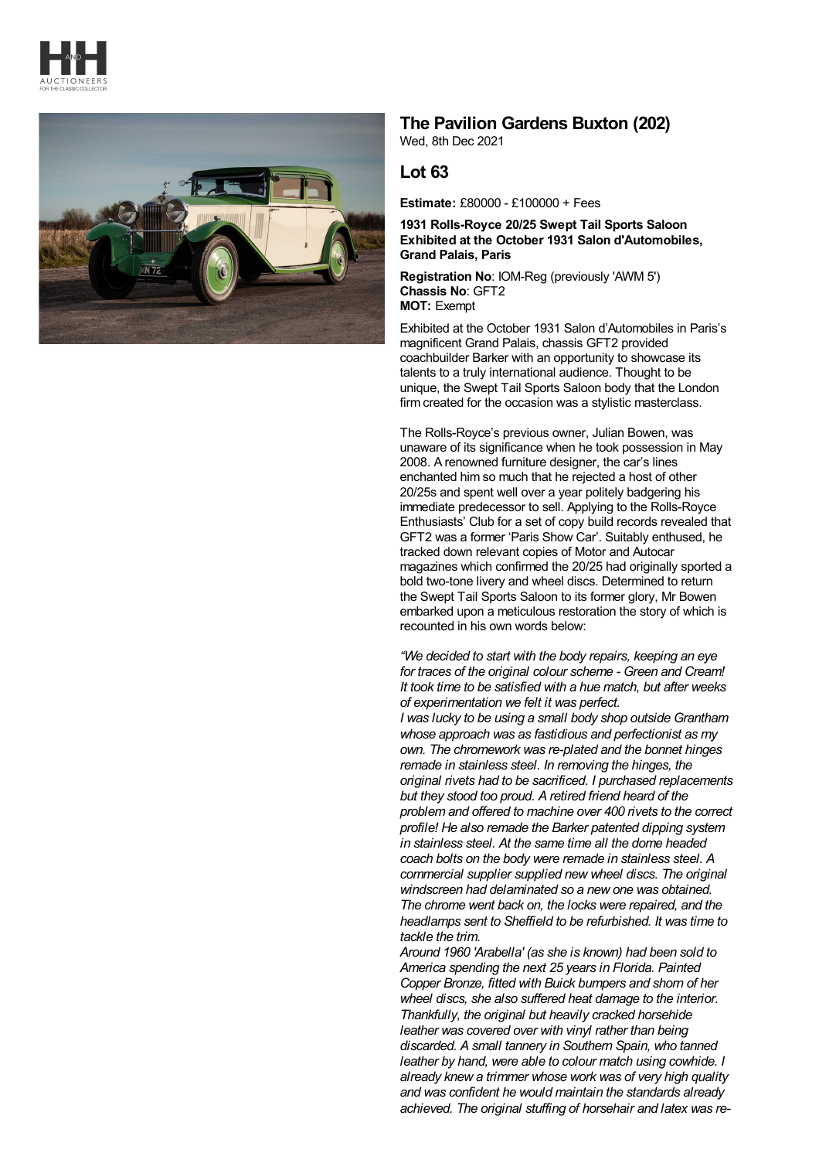



## **The Pavilion Gardens Buxton (202)**

Wed, 8th Dec 2021

## **Lot 63**

**Estimate:** £80000 - £100000 + Fees

**1931 Rolls-Royce 20/25 Swept Tail Sports Saloon Exhibited at the October 1931 Salon d'Automobiles, Grand Palais, Paris**

**Registration No**: IOM-Reg (previously 'AWM 5') **Chassis No**: GFT2 **MOT:** Exempt

Exhibited at the October 1931 Salon d'Automobiles in Paris's magnificent Grand Palais, chassis GFT2 provided coachbuilder Barker with an opportunity to showcase its talents to a truly international audience. Thought to be unique, the Swept Tail Sports Saloon body that the London firm created for the occasion was a stylistic masterclass.

The Rolls-Royce's previous owner, Julian Bowen, was unaware of its significance when he took possession in May 2008. A renowned furniture designer, the car's lines enchanted him so much that he rejected a host of other 20/25s and spent well over a year politely badgering his immediate predecessor to sell. Applying to the Rolls-Royce Enthusiasts' Club for a set of copy build records revealed that GFT2 was a former 'Paris Show Car'. Suitably enthused, he tracked down relevant copies of Motor and Autocar magazines which confirmed the 20/25 had originally sported a bold two-tone livery and wheel discs. Determined to return the Swept Tail Sports Saloon to its former glory, Mr Bowen embarked upon a meticulous restoration the story of which is recounted in his own words below:

*"We decided to start with the body repairs, keeping an eye for traces of the original colour scheme - Green and Cream! It took time to be satisfied with a hue match, but after weeks of experimentation we felt it was perfect.*

*I was lucky to be using a small body shop outside Grantham whose approach was as fastidious and perfectionist as my own. The chromework was re-plated and the bonnet hinges remade in stainless steel. In removing the hinges, the original rivets had to be sacrificed. I purchased replacements but they stood too proud. A retired friend heard of the problem and offered to machine over 400 rivets to the correct profile! He also remade the Barker patented dipping system in stainless steel. At the same time all the dome headed coach bolts on the body were remade in stainless steel. A commercial supplier supplied new wheel discs. The original windscreen had delaminated so a new one was obtained. The chrome went back on, the locks were repaired, and the headlamps sent to Sheffield to be refurbished. It was time to tackle the trim.*

*Around 1960 'Arabella' (as she is known) had been sold to America spending the next 25 years in Florida. Painted Copper Bronze, fitted with Buick bumpers and shorn of her wheel discs, she also suffered heat damage to the interior. Thankfully, the original but heavily cracked horsehide leather was covered over with vinyl rather than being discarded. A small tannery in Southern Spain, who tanned leather by hand, were able to colour match using cowhide. I already knew a trimmer whose work was of very high quality and was confident he would maintain the standards already achieved. The original stuffing of horsehair and latex was re-*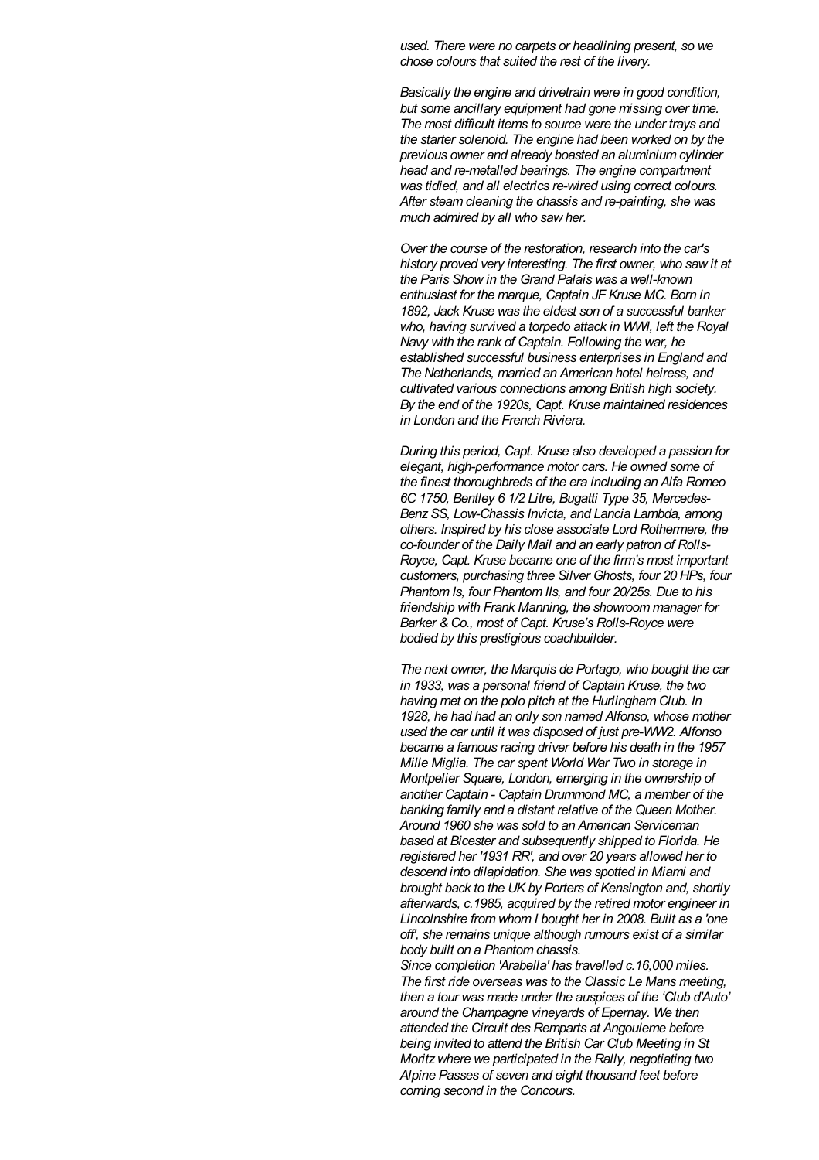*used. There were no carpets or headlining present, so we chose colours that suited the rest of the livery.*

*Basically the engine and drivetrain were in good condition, but some ancillary equipment had gone missing over time. The most difficult items to source were the under trays and the starter solenoid. The engine had been worked on by the previous owner and already boasted an aluminium cylinder head and re-metalled bearings. The engine compartment was tidied, and all electrics re-wired using correct colours. After steam cleaning the chassis and re-painting, she was much admired by all who saw her.*

*Over the course of the restoration, research into the car's history proved very interesting. The first owner, who saw it at the Paris Show in the Grand Palais was a well-known enthusiast for the marque, Captain JF Kruse MC. Born in 1892, Jack Kruse was the eldest son of a successful banker who, having survived a torpedo attack in WWI, left the Royal Navy with the rank of Captain. Following the war, he established successful business enterprises in England and The Netherlands, married an American hotel heiress, and cultivated various connections among British high society. By the end of the 1920s, Capt. Kruse maintained residences in London and the French Riviera.*

*During this period, Capt. Kruse also developed a passion for elegant, high-performance motor cars. He owned some of the finest thoroughbreds of the era including an Alfa Romeo 6C 1750, Bentley 6 1/2 Litre, Bugatti Type 35, Mercedes-BenzSS, Low-Chassis Invicta, and Lancia Lambda, among others. Inspired by his close associate Lord Rothermere, the co-founder of the Daily Mail and an early patron of Rolls-Royce, Capt. Kruse became one of the firm's most important customers, purchasing three Silver Ghosts, four 20 HPs, four Phantom Is, four Phantom IIs, and four 20/25s. Due to his friendship with Frank Manning, the showroom manager for Barker & Co., most of Capt. Kruse's Rolls-Royce were bodied by this prestigious coachbuilder.*

*The next owner, the Marquis de Portago, who bought the car in 1933, was a personal friend of Captain Kruse, the two having met on the polo pitch at the Hurlingham Club. In 1928, he had had an only son named Alfonso, whose mother used the car until it was disposed of just pre-WW2. Alfonso became a famous racing driver before his death in the 1957 Mille Miglia. The car spent World War Two in storage in Montpelier Square, London, emerging in the ownership of another Captain - Captain Drummond MC, a member of the banking family and a distant relative of the Queen Mother. Around 1960 she was sold to an American Serviceman based at Bicester and subsequently shipped to Florida. He registered her '1931 RR', and over 20 years allowed her to descend into dilapidation. She was spotted in Miami and brought back to the UK by Porters of Kensington and, shortly afterwards, c.1985, acquired by the retired motor engineer in Lincolnshire from whom I bought her in 2008. Built as a 'one off', she remains unique although rumours exist of a similar body built on a Phantom chassis.*

*Since completion 'Arabella' has travelled c.16,000 miles. The first ride overseas was to the Classic Le Mans meeting, then a tour was made under the auspices of the 'Club d'Auto' around the Champagne vineyards of Epernay. We then attended the Circuit des Remparts at Angouleme before being invited to attend the British Car Club Meeting in St Moritzwhere we participated in the Rally, negotiating two Alpine Passes of seven and eight thousand feet before coming second in the Concours.*